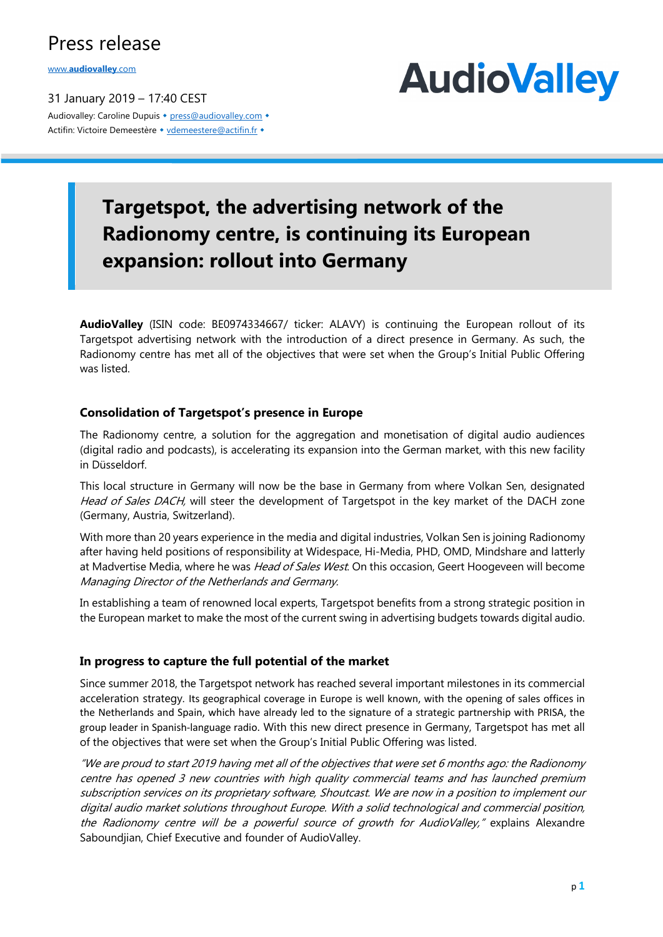## Press release

www.**audiovalley**.com

31 January 2019 – 17:40 CEST Audiovalley: Caroline Dupuis • press@audiovalley.com • Actifin: Victoire Demeestère • vdemeestere@actifin.fr •



## **Targetspot, the advertising network of the Radionomy centre, is continuing its European expansion: rollout into Germany**

**AudioValley** (ISIN code: BE0974334667/ ticker: ALAVY) is continuing the European rollout of its Targetspot advertising network with the introduction of a direct presence in Germany. As such, the Radionomy centre has met all of the objectives that were set when the Group's Initial Public Offering was listed.

#### **Consolidation of Targetspot's presence in Europe**

The Radionomy centre, a solution for the aggregation and monetisation of digital audio audiences (digital radio and podcasts), is accelerating its expansion into the German market, with this new facility in Düsseldorf.

This local structure in Germany will now be the base in Germany from where Volkan Sen, designated Head of Sales DACH, will steer the development of Targetspot in the key market of the DACH zone (Germany, Austria, Switzerland).

With more than 20 years experience in the media and digital industries, Volkan Sen is joining Radionomy after having held positions of responsibility at Widespace, Hi-Media, PHD, OMD, Mindshare and latterly at Madvertise Media, where he was *Head of Sales West*. On this occasion, Geert Hoogeveen will become Managing Director of the Netherlands and Germany.

In establishing a team of renowned local experts, Targetspot benefits from a strong strategic position in the European market to make the most of the current swing in advertising budgets towards digital audio.

#### **In progress to capture the full potential of the market**

Since summer 2018, the Targetspot network has reached several important milestones in its commercial acceleration strategy. Its geographical coverage in Europe is well known, with the opening of sales offices in the Netherlands and Spain, which have already led to the signature of a strategic partnership with PRISA, the group leader in Spanish-language radio. With this new direct presence in Germany, Targetspot has met all of the objectives that were set when the Group's Initial Public Offering was listed.

"We are proud to start 2019 having met all of the objectives that were set 6 months ago: the Radionomy centre has opened 3 new countries with high quality commercial teams and has launched premium subscription services on its proprietary software, Shoutcast. We are now in a position to implement our digital audio market solutions throughout Europe. With a solid technological and commercial position, the Radionomy centre will be a powerful source of growth for AudioValley," explains Alexandre Saboundjian, Chief Executive and founder of AudioValley.